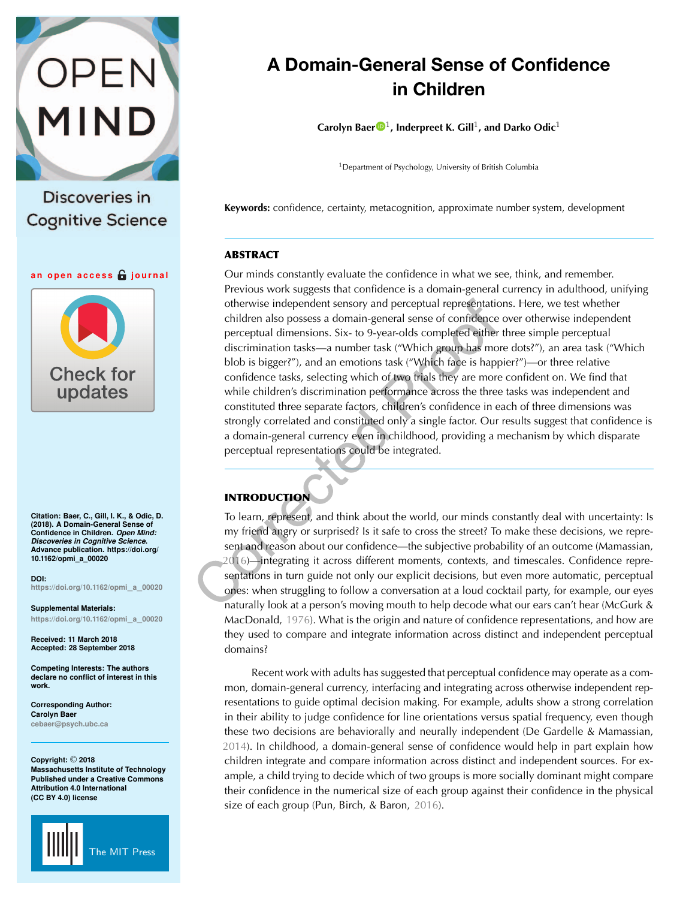

Discoveries in **Cognitive Science** 

**an open access journal**



**Citation: Baer, C., Gill, I. K., & Odic, D. (2018). A Domain-General Sense of Confidence in Children.** *Open Mind: Discoveries in Cognitive Science***. Advance publication. https://doi.org/ 10.1162/opmi\_a\_00020**

**DOI: [https://doi.org/10.1162/opmi](https://dx.doi.org/10.1162/opmi_a_00020)**\_**a**\_**<sup>00020</sup>**

**Supplemental Materials: [https://doi.org/10.1162/opmi](https://doi.org/10.1162/opmi_a_00020)**\_**a**\_**<sup>00020</sup>**

**Received: 11 March 2018 Accepted: 28 September 2018**

**Competing Interests: The authors declare no conflict of interest in this work.**

**Corresponding Author: Carolyn Baer**

**[cebaer@psych.ubc.ca](mailto:cebaer@psych.ubc.ca)**

**Copyright:** © **2018 Massachusetts Institute of Technology Published under a Creative Commons Attribution 4.0 International (CC BY 4.0) license**



# **A Domain-General Sense of Confidence in Children**

**Carolyn Baer**<sup>[1](https://orcid.org/0000-0003-4521-8006)</sup>, Inderpreet K. Gill<sup>1</sup>, and Darko Odic<sup>1</sup>

<sup>1</sup>Department of Psychology, University of British Columbia

**Keywords:** confidence, certainty, metacognition, approximate number system, development

## **ABSTRACT**

Our minds constantly evaluate the confidence in what we see, think, and remember. Previous work suggests that confidence is a domain-general currency in adulthood, unifying otherwise independent sensory and perceptual representations. Here, we test whether children also possess a domain-general sense of confidence over otherwise independent perceptual dimensions. Six- to 9-year-olds completed either three simple perceptual discrimination tasks—a number task ("Which group has more dots?"), an area task ("Which blob is bigger?"), and an emotions task ("Which face is happier?")—or three relative confidence tasks, selecting which of two trials they are more confident on. We find that while children's discrimination performance across the three tasks was independent and constituted three separate factors, children's confidence in each of three dimensions was strongly correlated and constituted only a single factor. Our results suggest that confidence is a domain-general currency even in childhood, providing a mechanism by which disparate perceptual representations could be integrated.

# **INTRODUCTION**

To learn, represent, and think about the world, our minds constantly deal with uncertainty: Is my friend angry or surprised? Is it safe to cross the street? To make these decisions, we represent and reason about our confidence—the subjective probability of an outcome (Mamassian, [2016](#page-10-0))—integrating it across different moments, contexts, and timescales. Confidence representations in turn guide not only our explicit decisions, but even more automatic, perceptual ones: when struggling to follow a conversation at a loud cocktail party, for example, our eyes naturally look at a person's moving mouth to help decode what our ears can't hear (McGurk & MacDonald, [1976](#page-10-1)). What is the origin and nature of confidence representations, and how are they used to compare and integrate information across distinct and independent perceptual domains?

Recent work with adults has suggested that perceptual confidence may operate as a common, domain-general currency, interfacing and integrating across otherwise independent representations to guide optimal decision making. For example, adults show a strong correlation in their ability to judge confidence for line orientations versus spatial frequency, even though these two decisions are behaviorally and neurally independent (De Gardelle & Mamassian, [2014](#page-9-0)). In childhood, a domain-general sense of confidence would help in part explain how children integrate and compare information across distinct and independent sources. For example, a child trying to decide which of two groups is more socially dominant might compare their confidence in the numerical size of each group against their confidence in the physical size of each group (Pun, Birch, & Baron, [2016](#page-10-2)).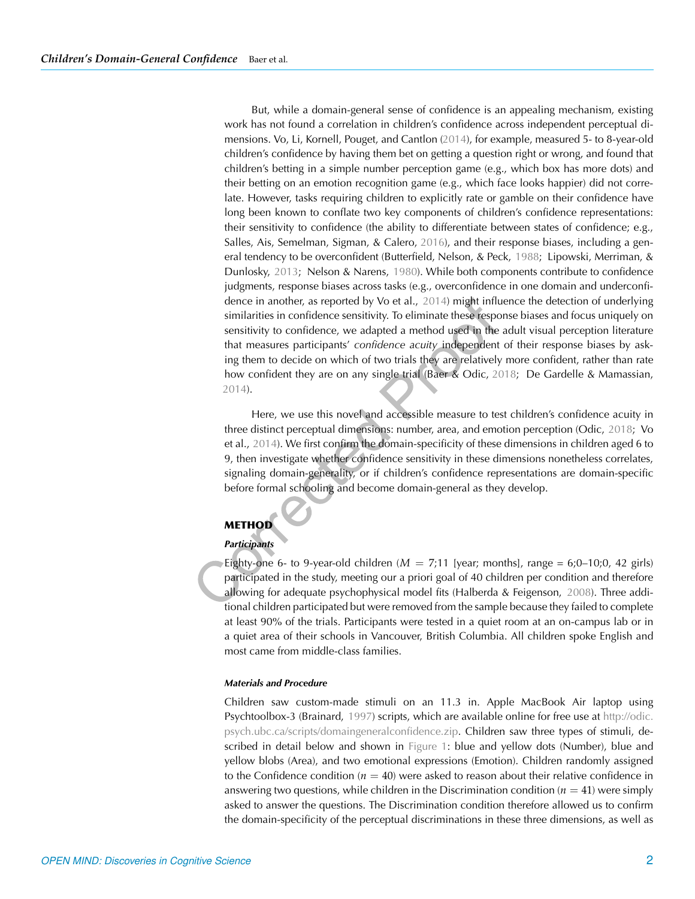But, while a domain-general sense of confidence is an appealing mechanism, existing work has not found a correlation in children's confidence across independent perceptual dimensions. Vo, Li, Kornell, Pouget, and Cantlon ([2014](#page-10-3)), for example, measured 5- to 8-year-old children's confidence by having them bet on getting a question right or wrong, and found that children's betting in a simple number perception game (e.g., which box has more dots) and their betting on an emotion recognition game (e.g., which face looks happier) did not correlate. However, tasks requiring children to explicitly rate or gamble on their confidence have long been known to conflate two key components of children's confidence representations: their sensitivity to confidence (the ability to differentiate between states of confidence; e.g., Salles, Ais, Semelman, Sigman, & Calero, [2016\)](#page-10-4), and their response biases, including a gen-eral tendency to be overconfident (Butterfield, Nelson, & Peck, [1988](#page-9-1); Lipowski, Merriman, & Dunlosky, [2013;](#page-10-5) Nelson & Narens, [1980\)](#page-10-6). While both components contribute to confidence judgments, response biases across tasks (e.g., overconfidence in one domain and underconfidence in another, as reported by Vo et al., [2014\)](#page-10-3) might influence the detection of underlying similarities in confidence sensitivity. To eliminate these response biases and focus uniquely on sensitivity to confidence, we adapted a method used in the adult visual perception literature that measures participants' *confidence acuity* independent of their response biases by asking them to decide on which of two trials they are relatively more confident, rather than rate how confident they are on any single trial (Baer & Odic, [2018;](#page-9-2) De Gardelle & Mamassian, [2014](#page-9-0)).

Here, we use this novel and accessible measure to test children's confidence acuity in three distinct perceptual dimensions: number, area, and emotion perception (Odic, [2018](#page-10-7); Vo et al., [2014](#page-10-3)). We first confirm the domain-specificity of these dimensions in children aged 6 to 9, then investigate whether confidence sensitivity in these dimensions nonetheless correlates, signaling domain-generality, or if children's confidence representations are domain-specific before formal schooling and become domain-general as they develop.

# **METHOD**

## *Participants*

Eighty-one 6- to 9-year-old children  $(M = 7,11)$  [year; months], range = 6;0–10;0, 42 girls) participated in the study, meeting our a priori goal of 40 children per condition and therefore allowing for adequate psychophysical model fits (Halberda & Feigenson, [2008\)](#page-9-3). Three additional children participated but were removed from the sample because they failed to complete at least 90% of the trials. Participants were tested in a quiet room at an on-campus lab or in a quiet area of their schools in Vancouver, British Columbia. All children spoke English and most came from middle-class families.

#### *Materials and Procedure*

Children saw custom-made stimuli on an 11.3 in. Apple MacBook Air laptop using Psychtoolbox-3 (Brainard, [1997\)](#page-9-4) scripts, which are available online for free use at [http://odic.](http://odic.psych.ubc.ca/scripts/domaingeneralconfidence.zip) [psych.ubc.ca/scripts/domaingeneralconfidence.zip.](http://odic.psych.ubc.ca/scripts/domaingeneralconfidence.zip) Children saw three types of stimuli, described in detail below and shown in [Figure 1:](#page-2-0) blue and yellow dots (Number), blue and yellow blobs (Area), and two emotional expressions (Emotion). Children randomly assigned to the Confidence condition  $(n = 40)$  were asked to reason about their relative confidence in answering two questions, while children in the Discrimination condition  $(n = 41)$  were simply asked to answer the questions. The Discrimination condition therefore allowed us to confirm the domain-specificity of the perceptual discriminations in these three dimensions, as well as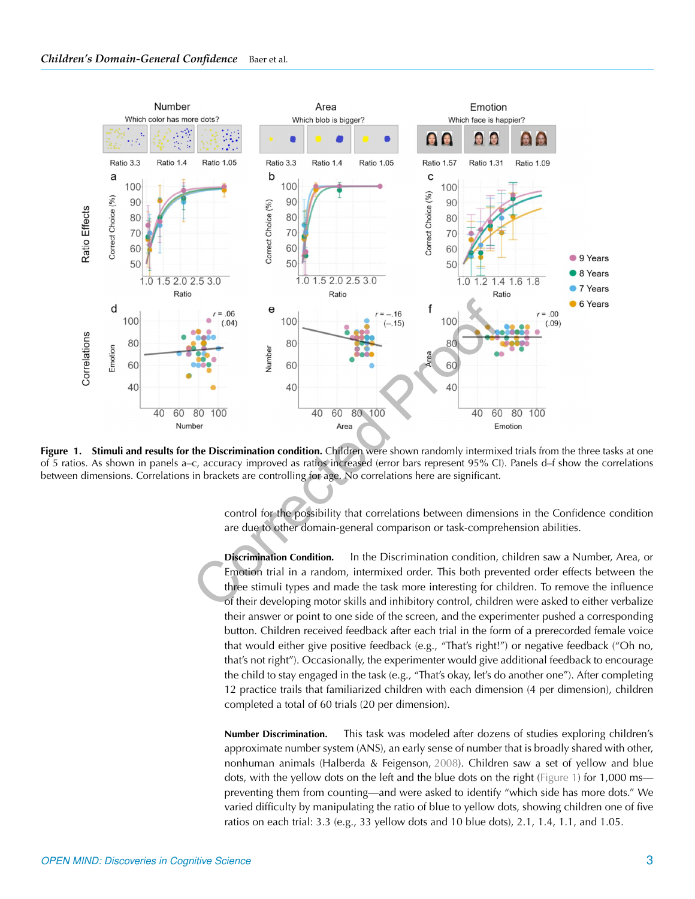

<span id="page-2-0"></span>**Figure 1. Stimuli and results for the Discrimination condition.** Children were shown randomly intermixed trials from the three tasks at one of 5 ratios. As shown in panels a–c, accuracy improved as ratios increased (error bars represent 95% CI). Panels d–f show the correlations between dimensions. Correlations in brackets are controlling for age. No correlations here are significant.

control for the possibility that correlations between dimensions in the Confidence condition are due to other domain-general comparison or task-comprehension abilities.

**Discrimination Condition.** In the Discrimination condition, children saw a Number, Area, or Emotion trial in a random, intermixed order. This both prevented order effects between the three stimuli types and made the task more interesting for children. To remove the influence of their developing motor skills and inhibitory control, children were asked to either verbalize their answer or point to one side of the screen, and the experimenter pushed a corresponding button. Children received feedback after each trial in the form of a prerecorded female voice that would either give positive feedback (e.g., "That's right!") or negative feedback ("Oh no, that's not right"). Occasionally, the experimenter would give additional feedback to encourage the child to stay engaged in the task (e.g., "That's okay, let's do another one"). After completing 12 practice trails that familiarized children with each dimension (4 per dimension), children completed a total of 60 trials (20 per dimension).

**Number Discrimination.** This task was modeled after dozens of studies exploring children's approximate number system (ANS), an early sense of number that is broadly shared with other, nonhuman animals (Halberda & Feigenson, [2008\)](#page-9-3). Children saw a set of yellow and blue dots, with the yellow dots on the left and the blue dots on the right [\(Figure 1\)](#page-2-0) for 1,000 ms preventing them from counting—and were asked to identify "which side has more dots." We varied difficulty by manipulating the ratio of blue to yellow dots, showing children one of five ratios on each trial: 3.3 (e.g., 33 yellow dots and 10 blue dots), 2.1, 1.4, 1.1, and 1.05.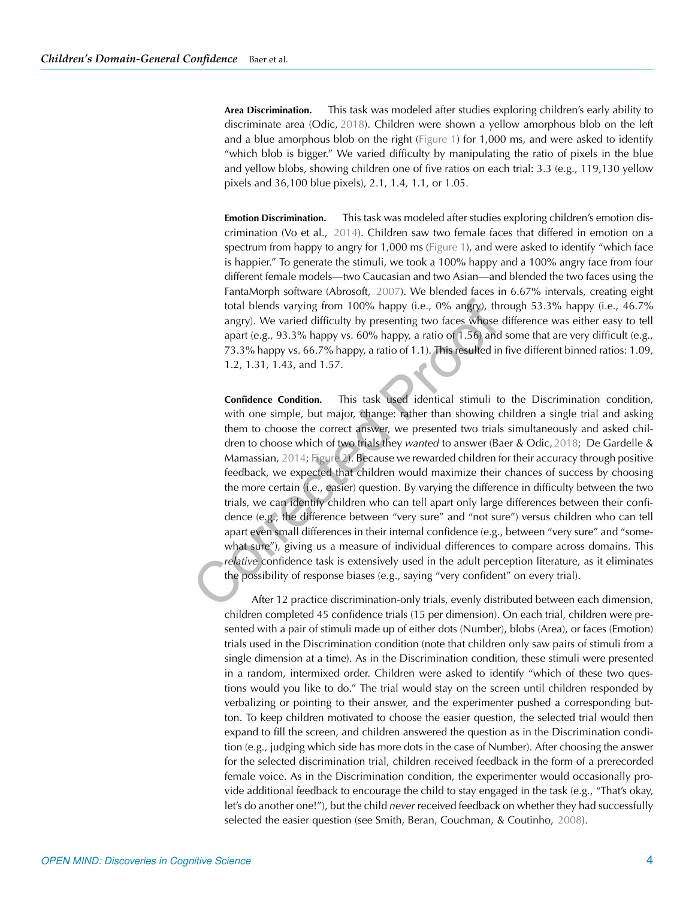**Area Discrimination.** This task was modeled after studies exploring children's early ability to discriminate area (Odic, [2018](#page-10-7)). Children were shown a yellow amorphous blob on the left and a blue amorphous blob on the right [\(Figure 1\)](#page-2-0) for 1,000 ms, and were asked to identify "which blob is bigger." We varied difficulty by manipulating the ratio of pixels in the blue and yellow blobs, showing children one of five ratios on each trial: 3.3 (e.g., 119,130 yellow pixels and 36,100 blue pixels), 2.1, 1.4, 1.1, or 1.05.

**Emotion Discrimination.** This task was modeled after studies exploring children's emotion discrimination (Vo et al., [2014](#page-10-3)). Children saw two female faces that differed in emotion on a spectrum from happy to angry for 1,000 ms [\(Figure 1\)](#page-2-0), and were asked to identify "which face is happier." To generate the stimuli, we took a 100% happy and a 100% angry face from four different female models—two Caucasian and two Asian—and blended the two faces using the FantaMorph software (Abrosoft, [2007\)](#page-9-5). We blended faces in 6.67% intervals, creating eight total blends varying from 100% happy (i.e., 0% angry), through 53.3% happy (i.e., 46.7% angry). We varied difficulty by presenting two faces whose difference was either easy to tell apart (e.g., 93.3% happy vs. 60% happy, a ratio of 1.56) and some that are very difficult (e.g., 73.3% happy vs. 66.7% happy, a ratio of 1.1). This resulted in five different binned ratios: 1.09, 1.2, 1.31, 1.43, and 1.57.

**Confidence Condition.** This task used identical stimuli to the Discrimination condition, with one simple, but major, change: rather than showing children a single trial and asking them to choose the correct answer, we presented two trials simultaneously and asked children to choose which of two trials they *wanted* to answer (Baer & Odic, [2018](#page-9-2); De Gardelle & Mamassian, [2014;](#page-9-0) [Figure 2\)](#page-4-0). Because we rewarded children for their accuracy through positive feedback, we expected that children would maximize their chances of success by choosing the more certain (i.e., easier) question. By varying the difference in difficulty between the two trials, we can identify children who can tell apart only large differences between their confidence (e.g., the difference between "very sure" and "not sure") versus children who can tell apart even small differences in their internal confidence (e.g., between "very sure" and "somewhat sure"), giving us a measure of individual differences to compare across domains. This *relative* confidence task is extensively used in the adult perception literature, as it eliminates the possibility of response biases (e.g., saying "very confident" on every trial).

After 12 practice discrimination-only trials, evenly distributed between each dimension, children completed 45 confidence trials (15 per dimension). On each trial, children were presented with a pair of stimuli made up of either dots (Number), blobs (Area), or faces (Emotion) trials used in the Discrimination condition (note that children only saw pairs of stimuli from a single dimension at a time). As in the Discrimination condition, these stimuli were presented in a random, intermixed order. Children were asked to identify "which of these two questions would you like to do." The trial would stay on the screen until children responded by verbalizing or pointing to their answer, and the experimenter pushed a corresponding button. To keep children motivated to choose the easier question, the selected trial would then expand to fill the screen, and children answered the question as in the Discrimination condition (e.g., judging which side has more dots in the case of Number). After choosing the answer for the selected discrimination trial, children received feedback in the form of a prerecorded female voice. As in the Discrimination condition, the experimenter would occasionally provide additional feedback to encourage the child to stay engaged in the task (e.g., "That's okay, let's do another one!"), but the child *never* received feedback on whether they had successfully selected the easier question (see Smith, Beran, Couchman, & Coutinho, [2008\)](#page-10-8).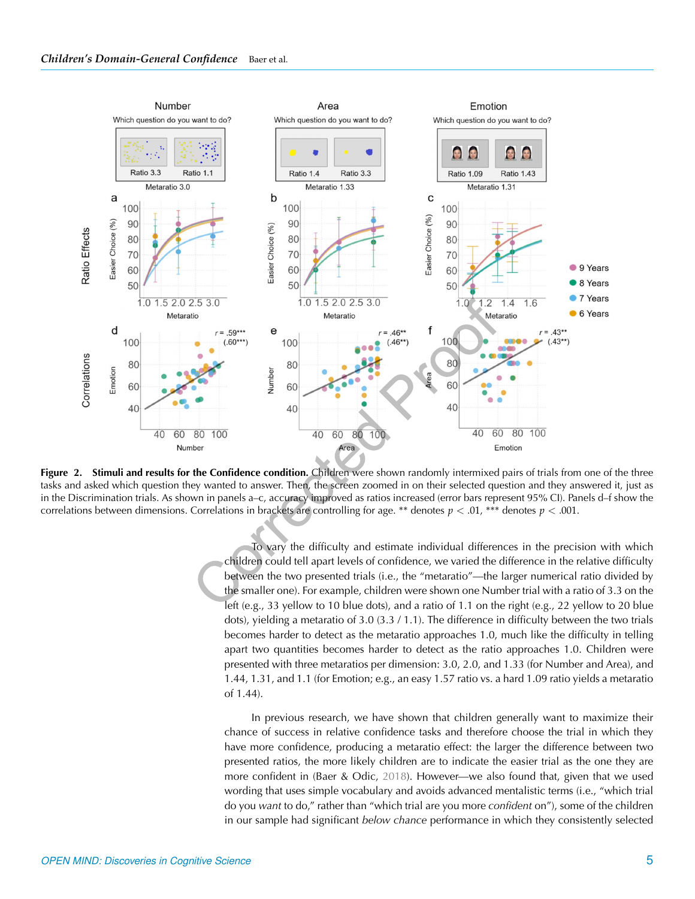

<span id="page-4-0"></span>**Figure 2. Stimuli and results for the Confidence condition.** Children were shown randomly intermixed pairs of trials from one of the three tasks and asked which question they wanted to answer. Then, the screen zoomed in on their selected question and they answered it, just as in the Discrimination trials. As shown in panels a–c, accuracy improved as ratios increased (error bars represent 95% CI). Panels d–f show the correlations between dimensions. Correlations in brackets are controlling for age. \*\* denotes  $p < .01$ , \*\*\* denotes  $p < .001$ .

To vary the difficulty and estimate individual differences in the precision with which children could tell apart levels of confidence, we varied the difference in the relative difficulty between the two presented trials (i.e., the "metaratio"—the larger numerical ratio divided by the smaller one). For example, children were shown one Number trial with a ratio of 3.3 on the left (e.g., 33 yellow to 10 blue dots), and a ratio of 1.1 on the right (e.g., 22 yellow to 20 blue dots), yielding a metaratio of 3.0 (3.3 / 1.1). The difference in difficulty between the two trials becomes harder to detect as the metaratio approaches 1.0, much like the difficulty in telling apart two quantities becomes harder to detect as the ratio approaches 1.0. Children were presented with three metaratios per dimension: 3.0, 2.0, and 1.33 (for Number and Area), and 1.44, 1.31, and 1.1 (for Emotion; e.g., an easy 1.57 ratio vs. a hard 1.09 ratio yields a metaratio of 1.44).

In previous research, we have shown that children generally want to maximize their chance of success in relative confidence tasks and therefore choose the trial in which they have more confidence, producing a metaratio effect: the larger the difference between two presented ratios, the more likely children are to indicate the easier trial as the one they are more confident in (Baer & Odic, [2018](#page-9-2)). However—we also found that, given that we used wording that uses simple vocabulary and avoids advanced mentalistic terms (i.e., "which trial do you *want* to do," rather than "which trial are you more *confident* on"), some of the children in our sample had significant *below chance* performance in which they consistently selected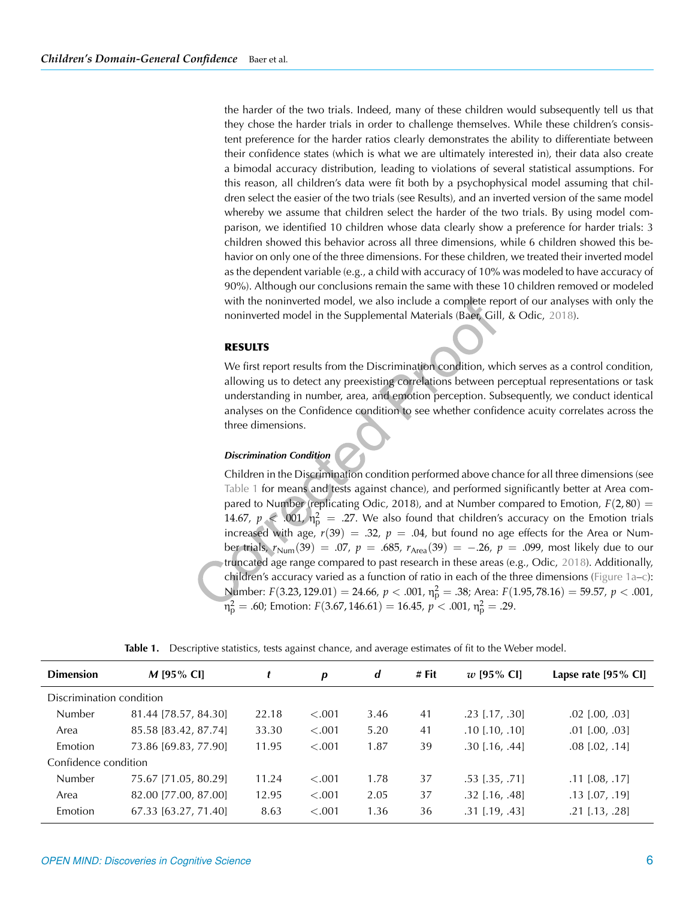the harder of the two trials. Indeed, many of these children would subsequently tell us that they chose the harder trials in order to challenge themselves. While these children's consistent preference for the harder ratios clearly demonstrates the ability to differentiate between their confidence states (which is what we are ultimately interested in), their data also create a bimodal accuracy distribution, leading to violations of several statistical assumptions. For this reason, all children's data were fit both by a psychophysical model assuming that children select the easier of the two trials (see Results), and an inverted version of the same model whereby we assume that children select the harder of the two trials. By using model comparison, we identified 10 children whose data clearly show a preference for harder trials: 3 children showed this behavior across all three dimensions, while 6 children showed this behavior on only one of the three dimensions. For these children, we treated their inverted model as the dependent variable (e.g., a child with accuracy of 10% was modeled to have accuracy of 90%). Although our conclusions remain the same with these 10 children removed or modeled with the noninverted model, we also include a complete report of our analyses with only the noninverted model in the Supplemental Materials (Baer, Gill, & Odic, [2018](#page-9-6)).

#### **RESULTS**

We first report results from the Discrimination condition, which serves as a control condition, allowing us to detect any preexisting correlations between perceptual representations or task understanding in number, area, and emotion perception. Subsequently, we conduct identical analyses on the Confidence condition to see whether confidence acuity correlates across the three dimensions.

#### *Discrimination Condition*

Children in the Discrimination condition performed above chance for all three dimensions (see [Table 1](#page-5-0) for means and tests against chance), and performed significantly better at Area compared to Number (replicating Odic, 2018), and at Number compared to Emotion,  $F(2, 80) =$ 14.67,  $p \ll 0.001$ ,  $n_p^2 = 0.27$ . We also found that children's accuracy on the Emotion trials increased with age,  $r(39) = .32$ ,  $p = .04$ , but found no age effects for the Area or Number trials,  $r_{\text{Num}}(39) = .07$ ,  $p = .685$ ,  $r_{\text{Area}}(39) = -.26$ ,  $p = .099$ , most likely due to our truncated age range compared to past research in these areas (e.g., Odic, [2018](#page-10-7)). Additionally, children's accuracy varied as a function of ratio in each of the three dimensions [\(Figure 1a–c\)](#page-2-0): Number: *F*(3.23, 129.01) = 24.66, *p* < .001, η<sub>ρ</sub><sup>2</sup> = .38; Area: *F*(1.95, 78.16) = 59.57, *p* < .001,  $m_{\rm p}^2 = .60$ ; Emotion:  $F(3.67, 146.61) = 16.45$ ,  $p < .001$ ,  $n_{\rm p}^2 = .29$ .

| <b>Dimension</b>         | $M$ [95% CI]         |       | p      | d    | # Fit | $w$ [95% CI]            | Lapse rate $[95\% \text{ Cl}]$ |
|--------------------------|----------------------|-------|--------|------|-------|-------------------------|--------------------------------|
| Discrimination condition |                      |       |        |      |       |                         |                                |
| Number                   | 81.44 [78.57, 84.30] | 22.18 | < .001 | 3.46 | 41    | $.23$ [.17, .30]        | $.02$ [.00, .03]               |
| Area                     | 85.58 [83.42, 87.74] | 33.30 | < .001 | 5.20 | 41    | $.10$ [ $.10$ , $.10$ ] | $.01$ [.00, .03]               |
| Emotion                  | 73.86 [69.83, 77.90] | 11.95 | < .001 | 1.87 | 39    | $.30$ [.16, .44]        | $.08$ $[.02, .14]$             |
| Confidence condition     |                      |       |        |      |       |                         |                                |
| <b>Number</b>            | 75.67 [71.05, 80.29] | 11.24 | < .001 | 1.78 | 37    | $.53$ [ $.35$ , $.71$ ] | $.11$ [.08, .17]               |
| Area                     | 82.00 [77.00, 87.00] | 12.95 | < .001 | 2.05 | 37    | $.32$ [.16, .48]        | $.13$ [.07, .19]               |
| Emotion                  | 67.33 [63.27, 71.40] | 8.63  | < .001 | 1.36 | 36    | $.31$ [.19, .43]        | $.21$ [.13, .28]               |

<span id="page-5-0"></span>Table 1. Descriptive statistics, tests against chance, and average estimates of fit to the Weber model.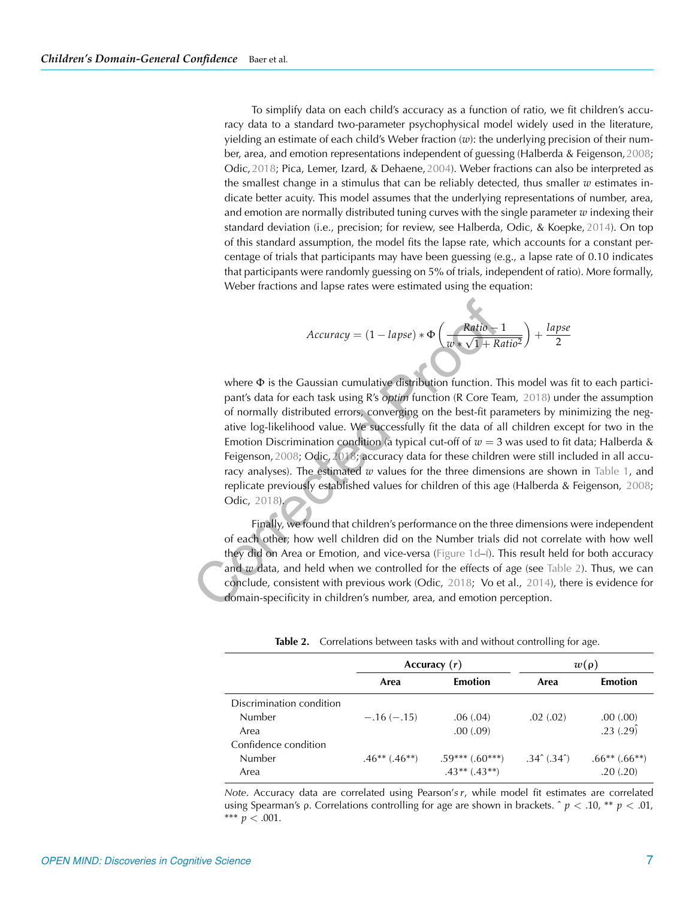To simplify data on each child's accuracy as a function of ratio, we fit children's accuracy data to a standard two-parameter psychophysical model widely used in the literature, yielding an estimate of each child's Weber fraction (*w*): the underlying precision of their number, area, and emotion representations independent of guessing (Halberda & Feigenson,[2008](#page-9-3); Odic,[2018](#page-10-7); Pica, Lemer, Izard, & Dehaene,[2004](#page-10-9)). Weber fractions can also be interpreted as the smallest change in a stimulus that can be reliably detected, thus smaller *w* estimates indicate better acuity. This model assumes that the underlying representations of number, area, and emotion are normally distributed tuning curves with the single parameter *w* indexing their standard deviation (i.e., precision; for review, see Halberda, Odic, & Koepke, [2014](#page-10-10)). On top of this standard assumption, the model fits the lapse rate, which accounts for a constant percentage of trials that participants may have been guessing (e.g., a lapse rate of 0.10 indicates that participants were randomly guessing on 5% of trials, independent of ratio). More formally, Weber fractions and lapse rates were estimated using the equation:

$$
Accuracy = (1 - lapse) * \Phi \left( \frac{Ratio - 1}{w * \sqrt{1 + Ratio^2}} \right) + \frac{lapse}{2}
$$

where  $\Phi$  is the Gaussian cumulative distribution function. This model was fit to each participant's data for each task using R's *optim* function (R Core Team, [2018](#page-10-11)) under the assumption of normally distributed errors, converging on the best-fit parameters by minimizing the negative log-likelihood value. We successfully fit the data of all children except for two in the Emotion Discrimination condition (a typical cut-off of  $w = 3$  was used to fit data; Halberda & Feigenson, [2008](#page-9-3); Odic, [2018;](#page-10-7) accuracy data for these children were still included in all accuracy analyses). The estimated *w* values for the three dimensions are shown in [Table 1,](#page-5-0) and replicate previously established values for children of this age (Halberda & Feigenson, [2008](#page-9-3); Odic, [2018\)](#page-10-7).

Finally, we found that children's performance on the three dimensions were independent of each other; how well children did on the Number trials did not correlate with how well they did on Area or Emotion, and vice-versa [\(Figure 1d–f\)](#page-2-0). This result held for both accuracy and *w* data, and held when we controlled for the effects of age (see [Table 2\)](#page-6-0). Thus, we can conclude, consistent with previous work (Odic, [2018;](#page-10-7) Vo et al., [2014](#page-10-3)), there is evidence for domain-specificity in children's number, area, and emotion perception.

| <b>Table 2.</b> Correlations between tasks with and without controlling for age. |  |
|----------------------------------------------------------------------------------|--|
|----------------------------------------------------------------------------------|--|

<span id="page-6-0"></span>

|                          |                    | Accuracy $(r)$      | $w(\rho)$                     |                    |  |
|--------------------------|--------------------|---------------------|-------------------------------|--------------------|--|
|                          | Area               | <b>Emotion</b>      | Area                          | <b>Emotion</b>     |  |
| Discrimination condition |                    |                     |                               |                    |  |
| <b>Number</b>            | $-.16(-.15)$       | .06(.04)            | .02(.02)                      | .00(.00)           |  |
| Area                     |                    | .00(.09)            |                               | .23(.29)           |  |
| Confidence condition     |                    |                     |                               |                    |  |
| Number                   | $.46***$ $(.46**)$ | $.59***$ $(.60***)$ | $.34^{\circ}$ $(.34^{\circ})$ | $.66***$ $(.66**)$ |  |
| Area                     |                    | $.43**$ $(.43**)$   |                               | .20(.20)           |  |

*Note*. Accuracy data are correlated using Pearson'*s r*, while model fit estimates are correlated using Spearman's ρ. Correlations controlling for age are shown in brackets.  $\hat{p} < .10$ , \*\*  $p < .01$ , \*\*\*  $p < .001$ .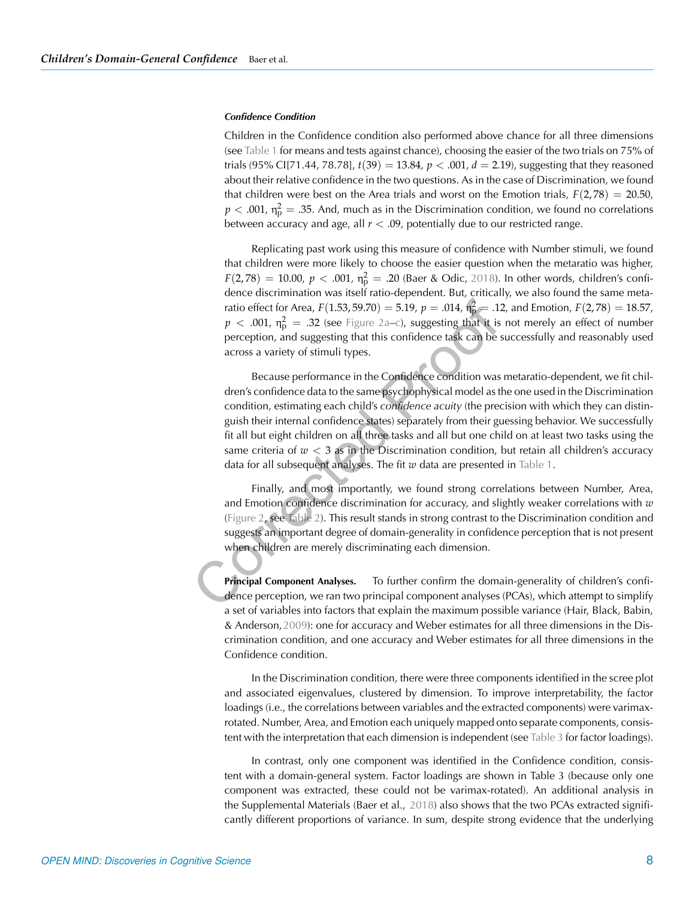#### *Confidence Condition*

Children in the Confidence condition also performed above chance for all three dimensions (see [Table 1](#page-5-0) for means and tests against chance), choosing the easier of the two trials on 75% of trials (95% CI[71.44, 78.78],  $t(39) = 13.84$ ,  $p < .001$ ,  $d = 2.19$ ), suggesting that they reasoned about their relative confidence in the two questions. As in the case of Discrimination, we found that children were best on the Area trials and worst on the Emotion trials,  $F(2, 78) = 20.50$ ,  $p < .001$ ,  $\eta_{\rm p}^2 = .35$ . And, much as in the Discrimination condition, we found no correlations between accuracy and age, all  $r < .09$ , potentially due to our restricted range.

Replicating past work using this measure of confidence with Number stimuli, we found that children were more likely to choose the easier question when the metaratio was higher,  $F(2,78) \, = \, 10.00, \ p \, < \, .001, \ \eta_{\rm p}^2 \, = \, .20$  (Baer & Odic, [2018](#page-9-2)). In other words, children's confidence discrimination was itself ratio-dependent. But, critically, we also found the same metaratio effect for Area,  $F(1.53, 59.70) = 5.19$ ,  $p = .014$ ,  $\eta_{\rm p}^2 = .12$ , and Emotion,  $F(2,78) = 18.57$ ,  $p$  < .001,  $\eta_{\rm p}^2$  = .32 (see [Figure 2a–c\)](#page-4-0), suggesting that it is not merely an effect of number perception, and suggesting that this confidence task can be successfully and reasonably used across a variety of stimuli types.

Because performance in the Confidence condition was metaratio-dependent, we fit children's confidence data to the same psychophysical model as the one used in the Discrimination condition, estimating each child's *confidence acuity* (the precision with which they can distinguish their internal confidence states) separately from their guessing behavior. We successfully fit all but eight children on all three tasks and all but one child on at least two tasks using the same criteria of  $w < 3$  as in the Discrimination condition, but retain all children's accuracy data for all subsequent analyses. The fit *w* data are presented in [Table 1.](#page-5-0)

Finally, and most importantly, we found strong correlations between Number, Area, and Emotion confidence discrimination for accuracy, and slightly weaker correlations with *w* [\(Figure 2,](#page-4-0) see [Table 2\)](#page-6-0). This result stands in strong contrast to the Discrimination condition and suggests an important degree of domain-generality in confidence perception that is not present when children are merely discriminating each dimension.

**Principal Component Analyses.** To further confirm the domain-generality of children's confidence perception, we ran two principal component analyses (PCAs), which attempt to simplify a set of variables into factors that explain the maximum possible variance (Hair, Black, Babin, & Anderson,[2009\)](#page-9-7): one for accuracy and Weber estimates for all three dimensions in the Discrimination condition, and one accuracy and Weber estimates for all three dimensions in the Confidence condition.

In the Discrimination condition, there were three components identified in the scree plot and associated eigenvalues, clustered by dimension. To improve interpretability, the factor loadings (i.e., the correlations between variables and the extracted components) were varimaxrotated. Number, Area, and Emotion each uniquely mapped onto separate components, consistent with the interpretation that each dimension is independent (see [Table 3](#page-8-0) for factor loadings).

In contrast, only one component was identified in the Confidence condition, consistent with a domain-general system. Factor loadings are shown in Table 3 (because only one component was extracted, these could not be varimax-rotated). An additional analysis in the Supplemental Materials (Baer et al., [2018](#page-9-6)) also shows that the two PCAs extracted significantly different proportions of variance. In sum, despite strong evidence that the underlying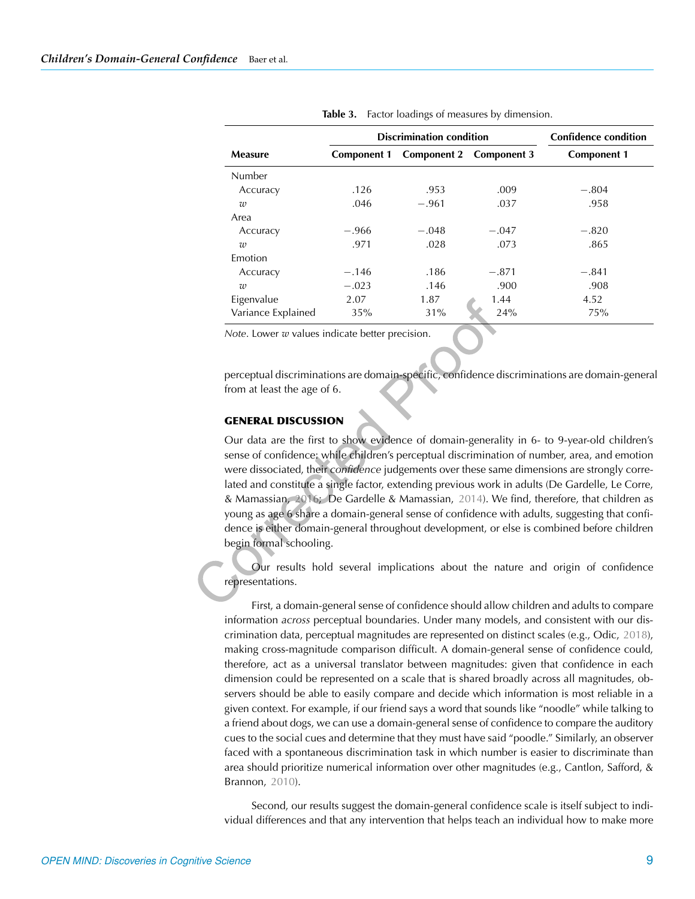<span id="page-8-0"></span>

|                    |                    | <b>Discrimination condition</b> |                         | <b>Confidence condition</b> |  |
|--------------------|--------------------|---------------------------------|-------------------------|-----------------------------|--|
| Measure            | <b>Component 1</b> |                                 | Component 2 Component 3 | <b>Component 1</b>          |  |
| Number             |                    |                                 |                         |                             |  |
| Accuracy           | .126               | .953                            | .009                    | $-.804$                     |  |
| w                  | .046               | $-.961$                         | .037                    | .958                        |  |
| Area               |                    |                                 |                         |                             |  |
| Accuracy           | $-.966$            | $-.048$                         | $-.047$                 | $-.820$                     |  |
| $\overline{w}$     | .971               | .028                            | .073                    | .865                        |  |
| Emotion            |                    |                                 |                         |                             |  |
| Accuracy           | $-.146$            | .186                            | $-.871$                 | $-.841$                     |  |
| $\overline{w}$     | $-.023$            | .146                            | .900                    | .908                        |  |
| Eigenvalue         | 2.07               | 1.87                            | 1.44                    | 4.52                        |  |
| Variance Explained | 35%                | 31%                             | 24%                     | 75%                         |  |

**Table 3.** Factor loadings of measures by dimension.

*Note*. Lower *w* values indicate better precision.

perceptual discriminations are domain-specific, confidence discriminations are domain-general from at least the age of 6.

## **GENERAL DISCUSSION**

Our data are the first to show evidence of domain-generality in 6- to 9-year-old children's sense of confidence: while children's perceptual discrimination of number, area, and emotion were dissociated, their *confidence* judgements over these same dimensions are strongly correlated and constitute a single factor, extending previous work in adults (De Gardelle, Le Corre, & Mamassian, [2016](#page-9-8); De Gardelle & Mamassian, [2014](#page-9-0)). We find, therefore, that children as young as age 6 share a domain-general sense of confidence with adults, suggesting that confidence is either domain-general throughout development, or else is combined before children begin formal schooling.

Our results hold several implications about the nature and origin of confidence representations.

First, a domain-general sense of confidence should allow children and adults to compare information *across* perceptual boundaries. Under many models, and consistent with our discrimination data, perceptual magnitudes are represented on distinct scales (e.g., Odic, [2018\)](#page-10-7), making cross-magnitude comparison difficult. A domain-general sense of confidence could, therefore, act as a universal translator between magnitudes: given that confidence in each dimension could be represented on a scale that is shared broadly across all magnitudes, observers should be able to easily compare and decide which information is most reliable in a given context. For example, if our friend says a word that sounds like "noodle" while talking to a friend about dogs, we can use a domain-general sense of confidence to compare the auditory cues to the social cues and determine that they must have said "poodle." Similarly, an observer faced with a spontaneous discrimination task in which number is easier to discriminate than area should prioritize numerical information over other magnitudes (e.g., Cantlon, Safford, & Brannon, [2010\)](#page-9-9).

Second, our results suggest the domain-general confidence scale is itself subject to individual differences and that any intervention that helps teach an individual how to make more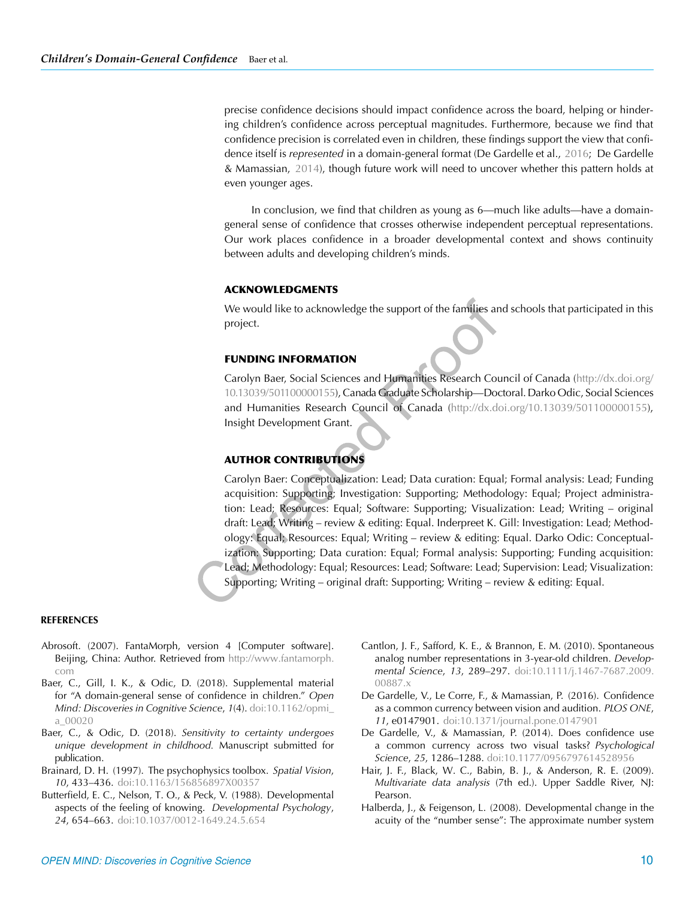precise confidence decisions should impact confidence across the board, helping or hindering children's confidence across perceptual magnitudes. Furthermore, because we find that confidence precision is correlated even in children, these findings support the view that confidence itself is *represented* in a domain-general format (De Gardelle et al., [2016;](#page-9-8) De Gardelle & Mamassian, [2014](#page-9-0)), though future work will need to uncover whether this pattern holds at even younger ages.

In conclusion, we find that children as young as 6—much like adults—have a domaingeneral sense of confidence that crosses otherwise independent perceptual representations. Our work places confidence in a broader developmental context and shows continuity between adults and developing children's minds.

## **ACKNOWLEDGMENTS**

We would like to acknowledge the support of the families and schools that participated in this project.

#### **FUNDING INFORMATION**

Carolyn Baer, Social Sciences and Humanities Research Council of Canada [\(http://dx.doi.org/](http://dx.doi.org/10.13039/501100000155) [10.13039/501100000155\)](http://dx.doi.org/10.13039/501100000155), Canada Graduate Scholarship—Doctoral. Darko Odic, Social Sciences and Humanities Research Council of Canada [\(http://dx.doi.org/10.13039/501100000155\)](http://dx.doi.org/10.13039/501100000155), Insight Development Grant.

## **AUTHOR CONTRIBUTIONS**

Carolyn Baer: Conceptualization: Lead; Data curation: Equal; Formal analysis: Lead; Funding acquisition: Supporting; Investigation: Supporting; Methodology: Equal; Project administration: Lead; Resources: Equal; Software: Supporting; Visualization: Lead; Writing – original draft: Lead; Writing – review & editing: Equal. Inderpreet K. Gill: Investigation: Lead; Methodology: Equal; Resources: Equal; Writing – review & editing: Equal. Darko Odic: Conceptualization: Supporting; Data curation: Equal; Formal analysis: Supporting; Funding acquisition: Lead; Methodology: Equal; Resources: Lead; Software: Lead; Supervision: Lead; Visualization: Supporting; Writing – original draft: Supporting; Writing – review & editing: Equal.

#### **REFERENCES**

- <span id="page-9-5"></span>Abrosoft. (2007). FantaMorph, version 4 [Computer software]. Beijing, China: Author. Retrieved from [http://www.fantamorph.](http://www.fantamorph.com) [com](http://www.fantamorph.com)
- <span id="page-9-6"></span>Baer, C., Gill, I. K., & Odic, D. (2018). Supplemental material for "A domain-general sense of confidence in children." *Open Mind: Discoveries in Cognitive Science*, *1*(4). [doi:10.1162/opmi\\_](https://dx.doi.org/10.1162/opmi_a_00020) [a\\_00020](https://dx.doi.org/10.1162/opmi_a_00020)
- <span id="page-9-2"></span>Baer, C., & Odic, D. (2018). *Sensitivity to certainty undergoes unique development in childhood.* Manuscript submitted for publication.
- <span id="page-9-4"></span>Brainard, D. H. (1997). The psychophysics toolbox. *Spatial Vision*, *10*, 433–436. [doi:10.1163/156856897X00357](https://dx.doi.org/10.1163/156856897X00357)
- <span id="page-9-1"></span>Butterfield, E. C., Nelson, T. O., & Peck, V. (1988). Developmental aspects of the feeling of knowing. *Developmental Psychology*, *24*, 654–663. [doi:10.1037/0012-1649.24.5.654](https://dx.doi.org/10.1037/0012-1649.24.5.654)
- <span id="page-9-9"></span>Cantlon, J. F., Safford, K. E., & Brannon, E. M. (2010). Spontaneous analog number representations in 3-year-old children. *Developmental Science*, *13*, 289–297. [doi:10.1111/j.1467-7687.2009.](https://dx.doi.org/10.1111/j.1467-7687.2009.00887.x) [00887.x](https://dx.doi.org/10.1111/j.1467-7687.2009.00887.x)
- <span id="page-9-8"></span>De Gardelle, V., Le Corre, F., & Mamassian, P. (2016). Confidence as a common currency between vision and audition. *PLOS ONE*, *11*, e0147901. [doi:10.1371/journal.pone.0147901](https://dx.doi.org/10.1371/journal.pone.0147901)
- <span id="page-9-0"></span>De Gardelle, V., & Mamassian, P. (2014). Does confidence use a common currency across two visual tasks? *Psychological Science*, *25*, 1286–1288. [doi:10.1177/0956797614528956](https://dx.doi.org/10.1177/0956797614528956)
- <span id="page-9-7"></span>Hair, J. F., Black, W. C., Babin, B. J., & Anderson, R. E. (2009). *Multivariate data analysis* (7th ed.). Upper Saddle River, NJ: Pearson.
- <span id="page-9-3"></span>Halberda, J., & Feigenson, L. (2008). Developmental change in the acuity of the "number sense": The approximate number system